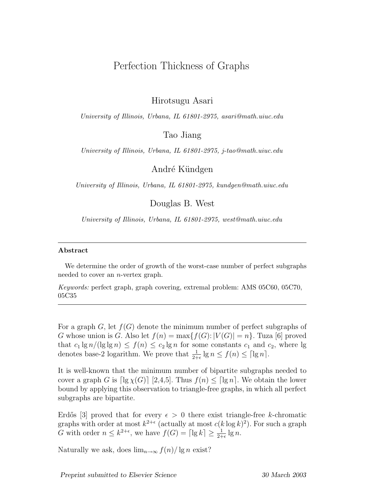## Perfection Thickness of Graphs

Hirotsugu Asari

University of Illinois, Urbana, IL 61801-2975, asari@math.uiuc.edu

Tao Jiang

University of Illinois, Urbana, IL 61801-2975, j-tao@math.uiuc.edu

André Kündgen

University of Illinois, Urbana, IL 61801-2975, kundgen@math.uiuc.edu

Douglas B. West

University of Illinois, Urbana, IL 61801-2975, west@math.uiuc.edu

## Abstract

We determine the order of growth of the worst-case number of perfect subgraphs needed to cover an n-vertex graph.

Keywords: perfect graph, graph covering, extremal problem: AMS 05C60, 05C70, 05C35

For a graph  $G$ , let  $f(G)$  denote the minimum number of perfect subgraphs of G whose union is G. Also let  $f(n) = \max\{f(G): |V(G)| = n\}$ . Tuza [6] proved that  $c_1 \lg n / (\lg \lg n) \leq f(n) \leq c_2 \lg n$  for some constants  $c_1$  and  $c_2$ , where lg denotes base-2 logarithm. We prove that  $\frac{1}{2+\epsilon} \lg n \le f(n) \le \lceil \lg n \rceil$ .

It is well-known that the minimum number of bipartite subgraphs needed to cover a graph G is  $\lceil \lg \chi(G) \rceil$  [2,4,5]. Thus  $f(n) \leq \lceil \lg n \rceil$ . We obtain the lower bound by applying this observation to triangle-free graphs, in which all perfect subgraphs are bipartite.

Erdős [3] proved that for every  $\epsilon > 0$  there exist triangle-free k-chromatic graphs with order at most  $k^{2+\epsilon}$  (actually at most  $c(k \log k)^2$ ). For such a graph G with order  $n \leq k^{2+\epsilon}$ , we have  $f(G) = \lceil \lg k \rceil \geq \frac{1}{2+\epsilon} \lg n$ .

Naturally we ask, does  $\lim_{n\to\infty} f(n)/\lg n$  exist?

Preprint submitted to Elsevier Science 30 March 2003